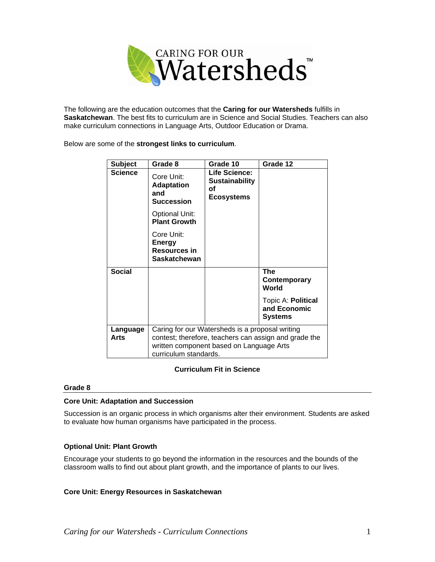

The following are the education outcomes that the **Caring for our Watersheds** fulfills in **Saskatchewan**. The best fits to curriculum are in Science and Social Studies. Teachers can also make curriculum connections in Language Arts, Outdoor Education or Drama.

Below are some of the **strongest links to curriculum**.

| <b>Subject</b>   | Grade 8                                                                                                                                                                       | Grade 10                                                          | Grade 12                                             |
|------------------|-------------------------------------------------------------------------------------------------------------------------------------------------------------------------------|-------------------------------------------------------------------|------------------------------------------------------|
| Science          | Core Unit:<br><b>Adaptation</b><br>and<br>Succession                                                                                                                          | Life Science:<br><b>Sustainability</b><br>οf<br><b>Ecosystems</b> |                                                      |
|                  | <b>Optional Unit:</b><br><b>Plant Growth</b>                                                                                                                                  |                                                                   |                                                      |
|                  | Core Unit:<br>Energy<br><b>Resources in</b><br><b>Saskatchewan</b>                                                                                                            |                                                                   |                                                      |
| <b>Social</b>    |                                                                                                                                                                               |                                                                   | <b>The</b><br>Contemporary<br>World                  |
|                  |                                                                                                                                                                               |                                                                   | Topic A: Political<br>and Economic<br><b>Systems</b> |
| Language<br>Arts | Caring for our Watersheds is a proposal writing<br>contest; therefore, teachers can assign and grade the<br>written component based on Language Arts<br>curriculum standards. |                                                                   |                                                      |

# **Curriculum Fit in Science**

#### **Grade 8**

#### **Core Unit: Adaptation and Succession**

Succession is an organic process in which organisms alter their environment. Students are asked to evaluate how human organisms have participated in the process.

# **Optional Unit: Plant Growth**

Encourage your students to go beyond the information in the resources and the bounds of the classroom walls to find out about plant growth, and the importance of plants to our lives.

#### **Core Unit: Energy Resources in Saskatchewan**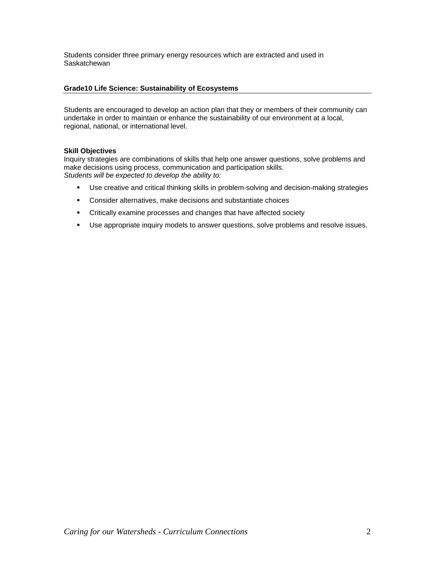Students consider three primary energy resources which are extracted and used in **Saskatchewan** 

## **Grade10 Life Science: Sustainability of Ecosystems**

Students are encouraged to develop an action plan that they or members of their community can undertake in order to maintain or enhance the sustainability of our environment at a local, regional, national, or international level.

## **Skill Objectives**

Inquiry strategies are combinations of skills that help one answer questions, solve problems and make decisions using process, communication and participation skills. *Students will be expected to develop the ability to:*

- Use creative and critical thinking skills in problem-solving and decision-making strategies
- Consider alternatives, make decisions and substantiate choices
- **EXECRITE:** Critically examine processes and changes that have affected society
- **Use appropriate inquiry models to answer questions, solve problems and resolve issues.**